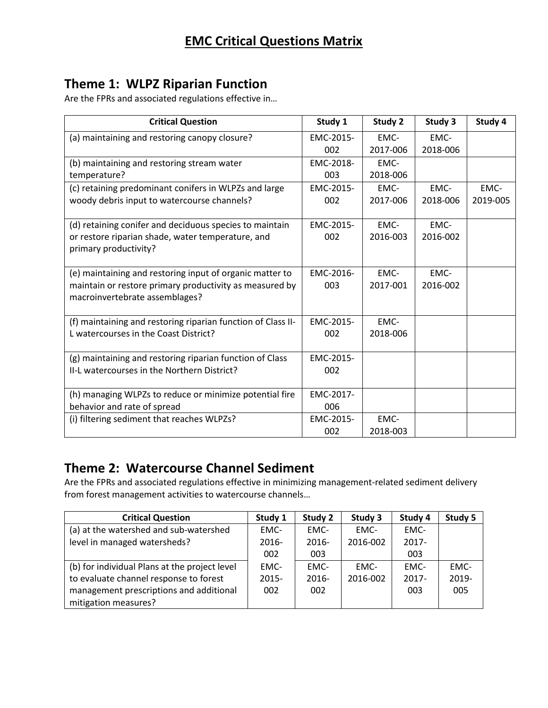# **Theme 1: WLPZ Riparian Function**

Are the FPRs and associated regulations effective in…

| <b>Critical Question</b>                                     | Study 1   | Study 2  | Study 3  | Study 4  |
|--------------------------------------------------------------|-----------|----------|----------|----------|
| (a) maintaining and restoring canopy closure?                | EMC-2015- | EMC-     | EMC-     |          |
|                                                              | 002       | 2017-006 | 2018-006 |          |
| (b) maintaining and restoring stream water                   | EMC-2018- | EMC-     |          |          |
| temperature?                                                 | 003       | 2018-006 |          |          |
| (c) retaining predominant conifers in WLPZs and large        | EMC-2015- | EMC-     | EMC-     | EMC-     |
| woody debris input to watercourse channels?                  | 002       | 2017-006 | 2018-006 | 2019-005 |
| (d) retaining conifer and deciduous species to maintain      | EMC-2015- | EMC-     | EMC-     |          |
| or restore riparian shade, water temperature, and            | 002       | 2016-003 | 2016-002 |          |
| primary productivity?                                        |           |          |          |          |
|                                                              |           |          |          |          |
| (e) maintaining and restoring input of organic matter to     | EMC-2016- | EMC-     | EMC-     |          |
| maintain or restore primary productivity as measured by      | 003       | 2017-001 | 2016-002 |          |
| macroinvertebrate assemblages?                               |           |          |          |          |
|                                                              |           |          |          |          |
| (f) maintaining and restoring riparian function of Class II- | EMC-2015- | EMC-     |          |          |
| L watercourses in the Coast District?                        | 002       | 2018-006 |          |          |
| (g) maintaining and restoring riparian function of Class     | EMC-2015- |          |          |          |
| II-L watercourses in the Northern District?                  | 002       |          |          |          |
|                                                              |           |          |          |          |
| (h) managing WLPZs to reduce or minimize potential fire      | EMC-2017- |          |          |          |
| behavior and rate of spread                                  | 006       |          |          |          |
| (i) filtering sediment that reaches WLPZs?                   | EMC-2015- | EMC-     |          |          |
|                                                              | 002       | 2018-003 |          |          |

## **Theme 2: Watercourse Channel Sediment**

Are the FPRs and associated regulations effective in minimizing management-related sediment delivery from forest management activities to watercourse channels…

| <b>Critical Question</b>                      | Study 1  | Study 2  | Study 3  | Study 4  | Study 5  |
|-----------------------------------------------|----------|----------|----------|----------|----------|
| (a) at the watershed and sub-watershed        | EMC-     | EMC-     | EMC-     | EMC-     |          |
| level in managed watersheds?                  | $2016 -$ | $2016 -$ | 2016-002 | $2017 -$ |          |
|                                               | 002      | 003      |          | 003      |          |
| (b) for individual Plans at the project level | EMC-     | EMC-     | EMC-     | EMC-     | EMC-     |
| to evaluate channel response to forest        | $2015 -$ | $2016 -$ | 2016-002 | $2017 -$ | $2019 -$ |
| management prescriptions and additional       | 002      | 002      |          | 003      | 005      |
| mitigation measures?                          |          |          |          |          |          |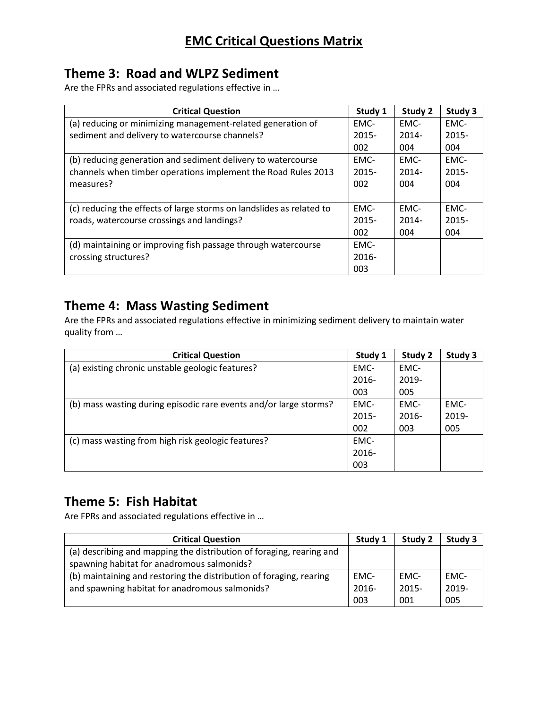# **Theme 3: Road and WLPZ Sediment**

Are the FPRs and associated regulations effective in …

| <b>Critical Question</b>                                             | Study 1  | Study 2  | Study 3  |
|----------------------------------------------------------------------|----------|----------|----------|
| (a) reducing or minimizing management-related generation of          | EMC-     | EMC-     | EMC-     |
| sediment and delivery to watercourse channels?                       | $2015 -$ | $2014 -$ | $2015 -$ |
|                                                                      | 002      | 004      | 004      |
| (b) reducing generation and sediment delivery to watercourse         | EMC-     | EMC-     | EMC-     |
| channels when timber operations implement the Road Rules 2013        | $2015 -$ | $2014 -$ | $2015 -$ |
| measures?                                                            | 002      | 004      | 004      |
|                                                                      |          |          |          |
| (c) reducing the effects of large storms on landslides as related to | EMC-     | EMC-     | EMC-     |
| roads, watercourse crossings and landings?                           | $2015 -$ | $2014 -$ | $2015 -$ |
|                                                                      | 002      | 004      | 004      |
| (d) maintaining or improving fish passage through watercourse        | EMC-     |          |          |
| crossing structures?                                                 | $2016 -$ |          |          |
|                                                                      | 003      |          |          |

## **Theme 4: Mass Wasting Sediment**

Are the FPRs and associated regulations effective in minimizing sediment delivery to maintain water quality from …

| <b>Critical Question</b>                                          | Study 1 | Study 2  | Study 3 |
|-------------------------------------------------------------------|---------|----------|---------|
| (a) existing chronic unstable geologic features?                  | EMC-    | EMC-     |         |
|                                                                   | 2016-   | 2019-    |         |
|                                                                   | 003     | 005      |         |
| (b) mass wasting during episodic rare events and/or large storms? | EMC-    | EMC-     | EMC-    |
|                                                                   | 2015-   | $2016 -$ | 2019-   |
|                                                                   | 002     | 003      | 005     |
| (c) mass wasting from high risk geologic features?                | EMC-    |          |         |
|                                                                   | 2016-   |          |         |
|                                                                   | 003     |          |         |

## **Theme 5: Fish Habitat**

Are FPRs and associated regulations effective in …

| <b>Critical Question</b>                                             | Study 1  | Study 2  | Study 3 |
|----------------------------------------------------------------------|----------|----------|---------|
| (a) describing and mapping the distribution of foraging, rearing and |          |          |         |
| spawning habitat for anadromous salmonids?                           |          |          |         |
| (b) maintaining and restoring the distribution of foraging, rearing  | EMC-     | EMC-     | EMC-    |
| and spawning habitat for anadromous salmonids?                       | $2016 -$ | $2015 -$ | 2019-   |
|                                                                      | 003      | 001      | 005     |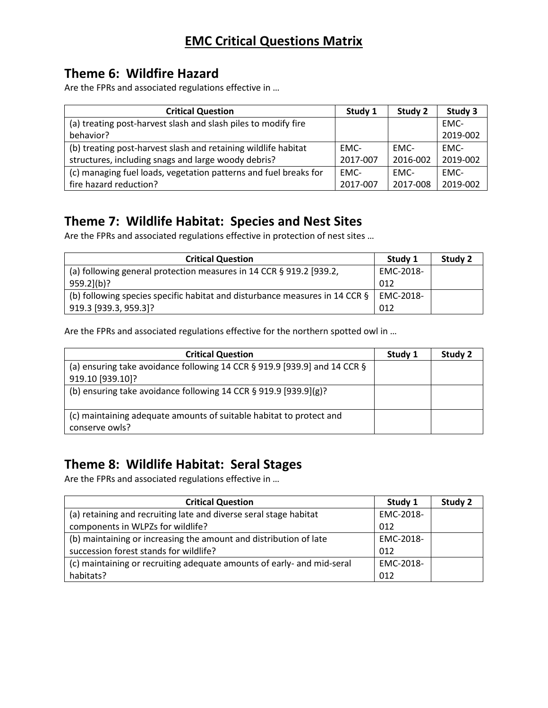## **Theme 6: Wildfire Hazard**

Are the FPRs and associated regulations effective in …

| <b>Critical Question</b>                                         | Study 1  | Study 2  | Study 3  |
|------------------------------------------------------------------|----------|----------|----------|
| (a) treating post-harvest slash and slash piles to modify fire   |          |          | EMC-     |
| behavior?                                                        |          |          | 2019-002 |
| (b) treating post-harvest slash and retaining wildlife habitat   | EMC-     | EMC-     | EMC-     |
| structures, including snags and large woody debris?              | 2017-007 | 2016-002 | 2019-002 |
| (c) managing fuel loads, vegetation patterns and fuel breaks for | EMC-     | EMC-     | EMC-     |
| fire hazard reduction?                                           | 2017-007 | 2017-008 | 2019-002 |

## **Theme 7: Wildlife Habitat: Species and Nest Sites**

Are the FPRs and associated regulations effective in protection of nest sites …

| <b>Critical Question</b>                                                                   | Study 1   | Study 2 |
|--------------------------------------------------------------------------------------------|-----------|---------|
| (a) following general protection measures in 14 CCR § 919.2 [939.2,                        | EMC-2018- |         |
| $959.2$ ](b)?                                                                              | 012       |         |
| (b) following species specific habitat and disturbance measures in 14 CCR $\S$   EMC-2018- |           |         |
| 919.3 [939.3, 959.3]?                                                                      | 012       |         |

Are the FPRs and associated regulations effective for the northern spotted owl in …

| <b>Critical Question</b>                                                              | Study 1 | Study 2 |
|---------------------------------------------------------------------------------------|---------|---------|
| (a) ensuring take avoidance following 14 CCR $\S$ 919.9 [939.9] and 14 CCR $\S$       |         |         |
| 919.10 [939.10]?                                                                      |         |         |
| (b) ensuring take avoidance following 14 CCR $\S$ 919.9 [939.9](g)?                   |         |         |
| (c) maintaining adequate amounts of suitable habitat to protect and<br>conserve owls? |         |         |

### **Theme 8: Wildlife Habitat: Seral Stages**

Are the FPRs and associated regulations effective in …

| <b>Critical Question</b>                                               | Study 1   | Study 2 |
|------------------------------------------------------------------------|-----------|---------|
| (a) retaining and recruiting late and diverse seral stage habitat      | EMC-2018- |         |
| components in WLPZs for wildlife?                                      | 012       |         |
| (b) maintaining or increasing the amount and distribution of late      | EMC-2018- |         |
| succession forest stands for wildlife?                                 | 012       |         |
| (c) maintaining or recruiting adequate amounts of early- and mid-seral | EMC-2018- |         |
| habitats?                                                              | 012       |         |